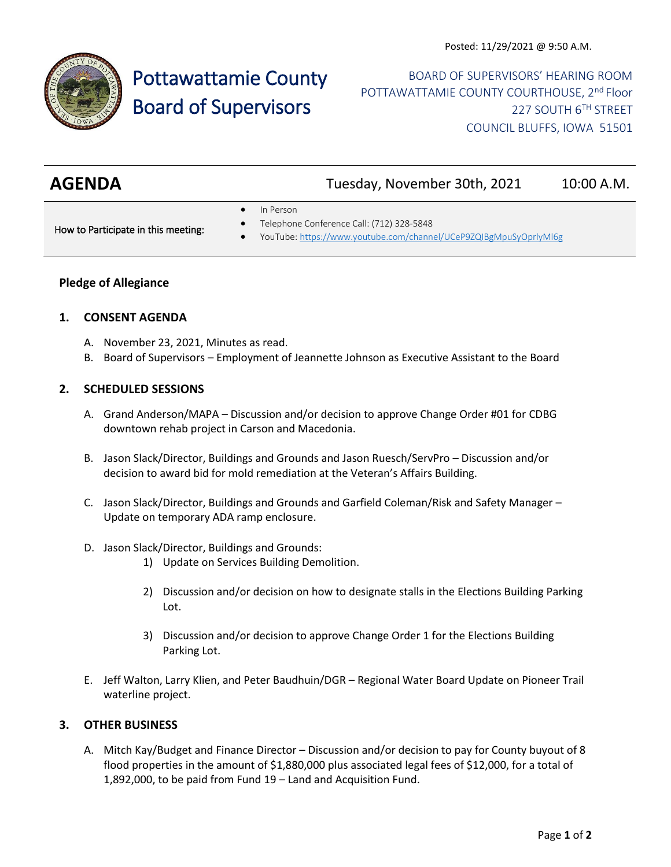

# Pottawattamie County Board of Supervisors

BOARD OF SUPERVISORS' HEARING ROOM POTTAWATTAMIE COUNTY COURTHOUSE, 2<sup>nd</sup> Floor 227 SOUTH 6TH STREET COUNCIL BLUFFS, IOWA 51501

| <b>AGENDA</b> | Tuesday, November 30th, 2021 | 10:00 A.M. |
|---------------|------------------------------|------------|
|               |                              |            |

In Person

How to Participate in this meeting:

- Telephone Conference Call: (712) 328-5848
- YouTube[: https://www.youtube.com/channel/UCeP9ZQIBgMpuSyOprlyMl6g](https://www.youtube.com/channel/UCeP9ZQIBgMpuSyOprlyMl6g)

## **Pledge of Allegiance**

#### **1. CONSENT AGENDA**

- A. November 23, 2021, Minutes as read.
- B. Board of Supervisors Employment of Jeannette Johnson as Executive Assistant to the Board

#### **2. SCHEDULED SESSIONS**

- A. Grand Anderson/MAPA Discussion and/or decision to approve Change Order #01 for CDBG downtown rehab project in Carson and Macedonia.
- B. Jason Slack/Director, Buildings and Grounds and Jason Ruesch/ServPro Discussion and/or decision to award bid for mold remediation at the Veteran's Affairs Building.
- C. Jason Slack/Director, Buildings and Grounds and Garfield Coleman/Risk and Safety Manager Update on temporary ADA ramp enclosure.
- D. Jason Slack/Director, Buildings and Grounds:
	- 1) Update on Services Building Demolition.
	- 2) Discussion and/or decision on how to designate stalls in the Elections Building Parking Lot.
	- 3) Discussion and/or decision to approve Change Order 1 for the Elections Building Parking Lot.
- E. Jeff Walton, Larry Klien, and Peter Baudhuin/DGR Regional Water Board Update on Pioneer Trail waterline project.

## **3. OTHER BUSINESS**

A. Mitch Kay/Budget and Finance Director – Discussion and/or decision to pay for County buyout of 8 flood properties in the amount of \$1,880,000 plus associated legal fees of \$12,000, for a total of 1,892,000, to be paid from Fund 19 – Land and Acquisition Fund.